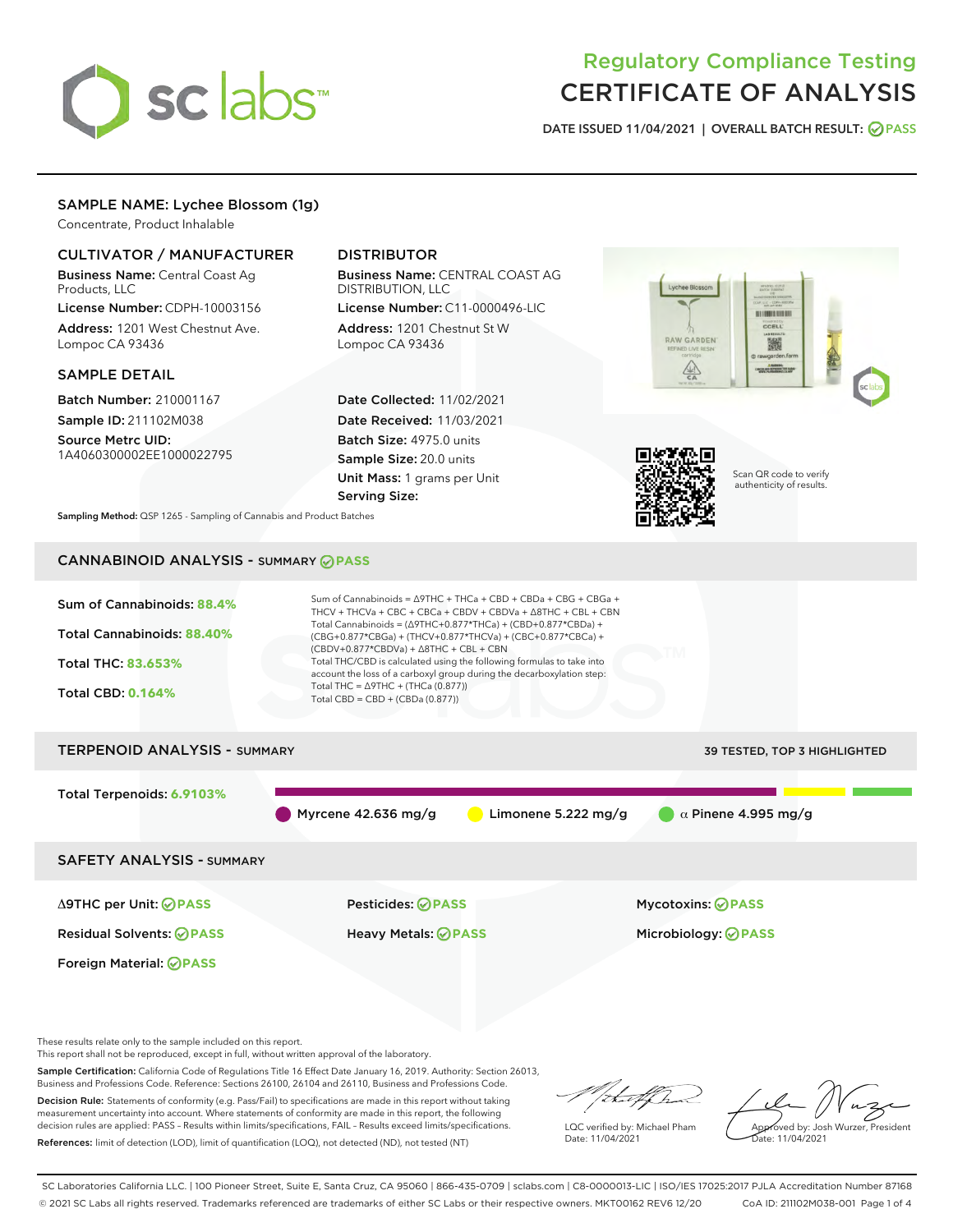

# Regulatory Compliance Testing CERTIFICATE OF ANALYSIS

DATE ISSUED 11/04/2021 | OVERALL BATCH RESULT: @ PASS

# SAMPLE NAME: Lychee Blossom (1g)

Concentrate, Product Inhalable

# CULTIVATOR / MANUFACTURER

Business Name: Central Coast Ag Products, LLC

License Number: CDPH-10003156 Address: 1201 West Chestnut Ave. Lompoc CA 93436

#### SAMPLE DETAIL

Batch Number: 210001167 Sample ID: 211102M038

Source Metrc UID: 1A4060300002EE1000022795

# DISTRIBUTOR

Business Name: CENTRAL COAST AG DISTRIBUTION, LLC

License Number: C11-0000496-LIC Address: 1201 Chestnut St W Lompoc CA 93436

Date Collected: 11/02/2021 Date Received: 11/03/2021 Batch Size: 4975.0 units Sample Size: 20.0 units Unit Mass: 1 grams per Unit Serving Size:





Scan QR code to verify authenticity of results.

Sampling Method: QSP 1265 - Sampling of Cannabis and Product Batches

# CANNABINOID ANALYSIS - SUMMARY **PASS**



These results relate only to the sample included on this report.

This report shall not be reproduced, except in full, without written approval of the laboratory.

Sample Certification: California Code of Regulations Title 16 Effect Date January 16, 2019. Authority: Section 26013, Business and Professions Code. Reference: Sections 26100, 26104 and 26110, Business and Professions Code.

Decision Rule: Statements of conformity (e.g. Pass/Fail) to specifications are made in this report without taking measurement uncertainty into account. Where statements of conformity are made in this report, the following decision rules are applied: PASS – Results within limits/specifications, FAIL – Results exceed limits/specifications. References: limit of detection (LOD), limit of quantification (LOQ), not detected (ND), not tested (NT)

that f ha

LQC verified by: Michael Pham Date: 11/04/2021

Approved by: Josh Wurzer, President Date: 11/04/2021

SC Laboratories California LLC. | 100 Pioneer Street, Suite E, Santa Cruz, CA 95060 | 866-435-0709 | sclabs.com | C8-0000013-LIC | ISO/IES 17025:2017 PJLA Accreditation Number 87168 © 2021 SC Labs all rights reserved. Trademarks referenced are trademarks of either SC Labs or their respective owners. MKT00162 REV6 12/20 CoA ID: 211102M038-001 Page 1 of 4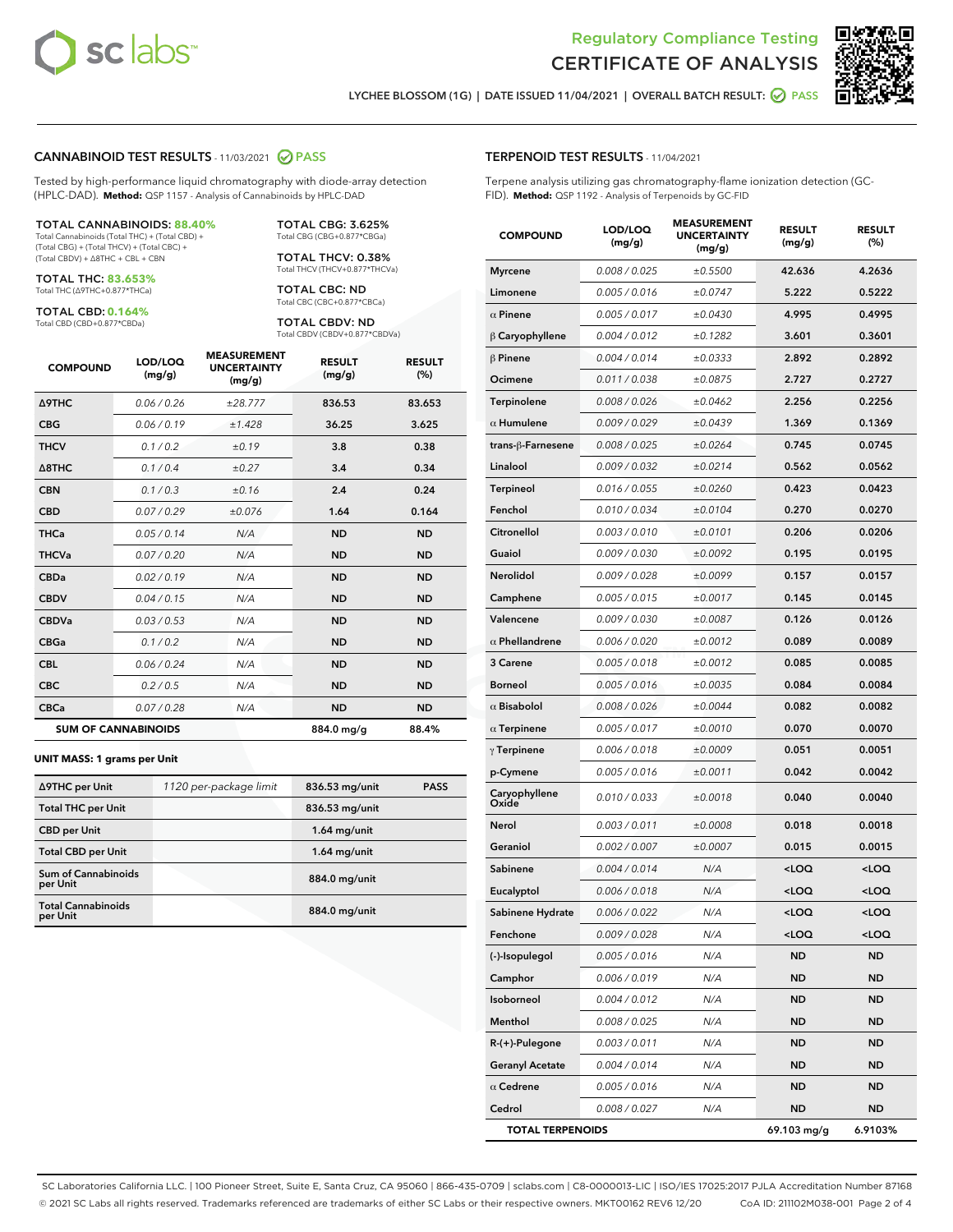



LYCHEE BLOSSOM (1G) | DATE ISSUED 11/04/2021 | OVERALL BATCH RESULT: **● PASS** 

#### CANNABINOID TEST RESULTS - 11/03/2021 2 PASS

Tested by high-performance liquid chromatography with diode-array detection (HPLC-DAD). **Method:** QSP 1157 - Analysis of Cannabinoids by HPLC-DAD

#### TOTAL CANNABINOIDS: **88.40%**

Total Cannabinoids (Total THC) + (Total CBD) + (Total CBG) + (Total THCV) + (Total CBC) + (Total CBDV) + ∆8THC + CBL + CBN

TOTAL THC: **83.653%** Total THC (∆9THC+0.877\*THCa)

TOTAL CBD: **0.164%**

Total CBD (CBD+0.877\*CBDa)

TOTAL CBG: 3.625% Total CBG (CBG+0.877\*CBGa)

TOTAL THCV: 0.38% Total THCV (THCV+0.877\*THCVa)

TOTAL CBC: ND Total CBC (CBC+0.877\*CBCa)

TOTAL CBDV: ND Total CBDV (CBDV+0.877\*CBDVa)

| <b>COMPOUND</b>            | LOD/LOQ<br>(mg/g) | <b>MEASUREMENT</b><br><b>UNCERTAINTY</b><br>(mg/g) | <b>RESULT</b><br>(mg/g) | <b>RESULT</b><br>(%) |
|----------------------------|-------------------|----------------------------------------------------|-------------------------|----------------------|
| Δ9THC                      | 0.06 / 0.26       | ±28.777                                            | 836.53                  | 83.653               |
| <b>CBG</b>                 | 0.06/0.19         | ±1.428                                             | 36.25                   | 3.625                |
| <b>THCV</b>                | 0.1 / 0.2         | ±0.19                                              | 3.8                     | 0.38                 |
| $\triangle$ 8THC           | 0.1/0.4           | ±0.27                                              | 3.4                     | 0.34                 |
| <b>CBN</b>                 | 0.1 / 0.3         | ±0.16                                              | 2.4                     | 0.24                 |
| <b>CBD</b>                 | 0.07/0.29         | ±0.076                                             | 1.64                    | 0.164                |
| <b>THCa</b>                | 0.05/0.14         | N/A                                                | <b>ND</b>               | <b>ND</b>            |
| <b>THCVa</b>               | 0.07/0.20         | N/A                                                | <b>ND</b>               | <b>ND</b>            |
| <b>CBDa</b>                | 0.02/0.19         | N/A                                                | <b>ND</b>               | <b>ND</b>            |
| <b>CBDV</b>                | 0.04/0.15         | N/A                                                | <b>ND</b>               | <b>ND</b>            |
| <b>CBDVa</b>               | 0.03/0.53         | N/A                                                | <b>ND</b>               | <b>ND</b>            |
| <b>CBGa</b>                | 0.1 / 0.2         | N/A                                                | <b>ND</b>               | <b>ND</b>            |
| <b>CBL</b>                 | 0.06 / 0.24       | N/A                                                | <b>ND</b>               | <b>ND</b>            |
| <b>CBC</b>                 | 0.2 / 0.5         | N/A                                                | <b>ND</b>               | <b>ND</b>            |
| <b>CBCa</b>                | 0.07 / 0.28       | N/A                                                | <b>ND</b>               | <b>ND</b>            |
| <b>SUM OF CANNABINOIDS</b> |                   |                                                    | 884.0 mg/g              | 88.4%                |

#### **UNIT MASS: 1 grams per Unit**

| ∆9THC per Unit                         | 1120 per-package limit | 836.53 mg/unit | <b>PASS</b> |
|----------------------------------------|------------------------|----------------|-------------|
| <b>Total THC per Unit</b>              |                        | 836.53 mg/unit |             |
| <b>CBD per Unit</b>                    |                        | $1.64$ mg/unit |             |
| <b>Total CBD per Unit</b>              |                        | $1.64$ mg/unit |             |
| <b>Sum of Cannabinoids</b><br>per Unit |                        | 884.0 mg/unit  |             |
| <b>Total Cannabinoids</b><br>per Unit  |                        | 884.0 mg/unit  |             |

| <b>COMPOUND</b>         | LOD/LOQ<br>(mg/g) | <b>MJUREIVI</b><br><b>UNCERTAINTY</b><br>(mg/g) | <b>RESULT</b><br>(mg/g)                         | <b>RESULT</b><br>(%) |
|-------------------------|-------------------|-------------------------------------------------|-------------------------------------------------|----------------------|
| <b>Myrcene</b>          | 0.008 / 0.025     | ±0.5500                                         | 42.636                                          | 4.2636               |
| Limonene                | 0.005 / 0.016     | ±0.0747                                         | 5.222                                           | 0.5222               |
| $\alpha$ Pinene         | 0.005 / 0.017     | ±0.0430                                         | 4.995                                           | 0.4995               |
| $\beta$ Caryophyllene   | 0.004 / 0.012     | ±0.1282                                         | 3.601                                           | 0.3601               |
| $\beta$ Pinene          | 0.004 / 0.014     | ±0.0333                                         | 2.892                                           | 0.2892               |
| Ocimene                 | 0.011 / 0.038     | ±0.0875                                         | 2.727                                           | 0.2727               |
| Terpinolene             | 0.008 / 0.026     | ±0.0462                                         | 2.256                                           | 0.2256               |
| $\alpha$ Humulene       | 0.009/0.029       | ±0.0439                                         | 1.369                                           | 0.1369               |
| trans-ß-Farnesene       | 0.008 / 0.025     | ±0.0264                                         | 0.745                                           | 0.0745               |
| Linalool                | 0.009 / 0.032     | ±0.0214                                         | 0.562                                           | 0.0562               |
| Terpineol               | 0.016 / 0.055     | ±0.0260                                         | 0.423                                           | 0.0423               |
| Fenchol                 | 0.010 / 0.034     | ±0.0104                                         | 0.270                                           | 0.0270               |
| Citronellol             | 0.003 / 0.010     | ±0.0101                                         | 0.206                                           | 0.0206               |
| Guaiol                  | 0.009 / 0.030     | ±0.0092                                         | 0.195                                           | 0.0195               |
| Nerolidol               | 0.009 / 0.028     | ±0.0099                                         | 0.157                                           | 0.0157               |
| Camphene                | 0.005 / 0.015     | ±0.0017                                         | 0.145                                           | 0.0145               |
| Valencene               | 0.009 / 0.030     | ±0.0087                                         | 0.126                                           | 0.0126               |
| $\alpha$ Phellandrene   | 0.006 / 0.020     | ±0.0012                                         | 0.089                                           | 0.0089               |
| 3 Carene                | 0.005 / 0.018     | ±0.0012                                         | 0.085                                           | 0.0085               |
| Borneol                 | 0.005 / 0.016     | ±0.0035                                         | 0.084                                           | 0.0084               |
| $\alpha$ Bisabolol      | 0.008 / 0.026     | ±0.0044                                         | 0.082                                           | 0.0082               |
| $\alpha$ Terpinene      | 0.005 / 0.017     | ±0.0010                                         | 0.070                                           | 0.0070               |
| $\gamma$ Terpinene      | 0.006 / 0.018     | ±0.0009                                         | 0.051                                           | 0.0051               |
| p-Cymene                | 0.005 / 0.016     | ±0.0011                                         | 0.042                                           | 0.0042               |
| Caryophyllene<br>Oxide  | 0.010 / 0.033     | ±0.0018                                         | 0.040                                           | 0.0040               |
| Nerol                   | 0.003 / 0.011     | ±0.0008                                         | 0.018                                           | 0.0018               |
| Geraniol                | 0.002 / 0.007     | ±0.0007                                         | 0.015                                           | 0.0015               |
| Sabinene                | 0.004 / 0.014     | N/A                                             | <loq< th=""><th><loq< th=""></loq<></th></loq<> | <loq< th=""></loq<>  |
| Eucalyptol              | 0.006 / 0.018     | N/A                                             | <loq< th=""><th><loq< th=""></loq<></th></loq<> | <loq< th=""></loq<>  |
| Sabinene Hydrate        | 0.006 / 0.022     | N/A                                             | <loq< th=""><th><loq< th=""></loq<></th></loq<> | <loq< th=""></loq<>  |
| Fenchone                | 0.009 / 0.028     | N/A                                             | <loq< th=""><th><loq< th=""></loq<></th></loq<> | <loq< th=""></loq<>  |
| (-)-Isopulegol          | 0.005 / 0.016     | N/A                                             | ND                                              | ND                   |
| Camphor                 | 0.006 / 0.019     | N/A                                             | <b>ND</b>                                       | ND                   |
| Isoborneol              | 0.004 / 0.012     | N/A                                             | ND                                              | ND                   |
| Menthol                 | 0.008 / 0.025     | N/A                                             | ND                                              | ND                   |
| R-(+)-Pulegone          | 0.003 / 0.011     | N/A                                             | <b>ND</b>                                       | ND                   |
| <b>Geranyl Acetate</b>  | 0.004 / 0.014     | N/A                                             | ND                                              | ND                   |
| $\alpha$ Cedrene        | 0.005 / 0.016     | N/A                                             | ND                                              | ND                   |
| Cedrol                  | 0.008 / 0.027     | N/A                                             | ND                                              | ND                   |
| <b>TOTAL TERPENOIDS</b> |                   |                                                 | 69.103 mg/g                                     | 6.9103%              |

SC Laboratories California LLC. | 100 Pioneer Street, Suite E, Santa Cruz, CA 95060 | 866-435-0709 | sclabs.com | C8-0000013-LIC | ISO/IES 17025:2017 PJLA Accreditation Number 87168 © 2021 SC Labs all rights reserved. Trademarks referenced are trademarks of either SC Labs or their respective owners. MKT00162 REV6 12/20 CoA ID: 211102M038-001 Page 2 of 4

# TERPENOID TEST RESULTS - 11/04/2021

Terpene analysis utilizing gas chromatography-flame ionization detection (GC-FID). **Method:** QSP 1192 - Analysis of Terpenoids by GC-FID

MEACUREMENT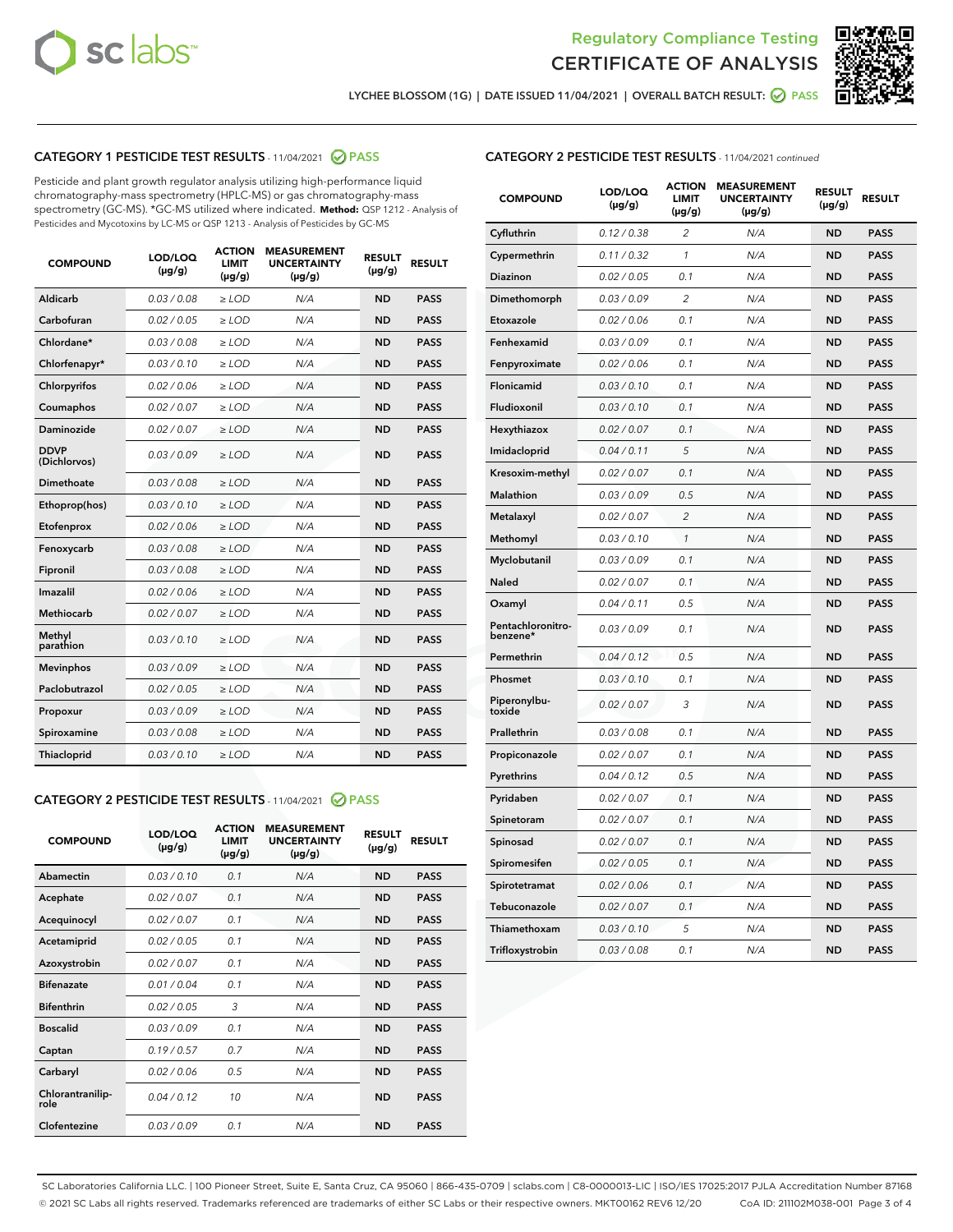



LYCHEE BLOSSOM (1G) | DATE ISSUED 11/04/2021 | OVERALL BATCH RESULT: ☑ PASS

# CATEGORY 1 PESTICIDE TEST RESULTS - 11/04/2021 2 PASS

Pesticide and plant growth regulator analysis utilizing high-performance liquid chromatography-mass spectrometry (HPLC-MS) or gas chromatography-mass spectrometry (GC-MS). \*GC-MS utilized where indicated. **Method:** QSP 1212 - Analysis of Pesticides and Mycotoxins by LC-MS or QSP 1213 - Analysis of Pesticides by GC-MS

| <b>Aldicarb</b><br>0.03 / 0.08<br><b>ND</b><br>$\ge$ LOD<br>N/A<br><b>PASS</b><br>Carbofuran<br>0.02/0.05<br>$\ge$ LOD<br>N/A<br><b>ND</b><br><b>PASS</b><br>Chlordane*<br>0.03 / 0.08<br><b>ND</b><br>$>$ LOD<br>N/A<br><b>PASS</b><br>0.03/0.10<br><b>ND</b><br><b>PASS</b><br>Chlorfenapyr*<br>$\ge$ LOD<br>N/A<br>0.02 / 0.06<br>N/A<br><b>ND</b><br><b>PASS</b><br>Chlorpyrifos<br>$\ge$ LOD<br>0.02 / 0.07<br>N/A<br><b>ND</b><br><b>PASS</b><br>Coumaphos<br>$>$ LOD<br>Daminozide<br>0.02 / 0.07<br>$\ge$ LOD<br>N/A<br><b>ND</b><br><b>PASS</b><br><b>DDVP</b><br>0.03/0.09<br>$\ge$ LOD<br>N/A<br><b>ND</b><br><b>PASS</b><br>(Dichlorvos)<br>Dimethoate<br><b>ND</b><br><b>PASS</b><br>0.03 / 0.08<br>$>$ LOD<br>N/A<br>0.03/0.10<br>Ethoprop(hos)<br>$\ge$ LOD<br>N/A<br><b>ND</b><br><b>PASS</b><br>0.02 / 0.06<br>$\ge$ LOD<br>N/A<br><b>ND</b><br><b>PASS</b><br>Etofenprox<br>Fenoxycarb<br>0.03 / 0.08<br>$>$ LOD<br>N/A<br><b>ND</b><br><b>PASS</b><br>0.03 / 0.08<br><b>ND</b><br><b>PASS</b><br>Fipronil<br>$\ge$ LOD<br>N/A<br>Imazalil<br>0.02 / 0.06<br>$>$ LOD<br>N/A<br><b>ND</b><br><b>PASS</b><br>0.02 / 0.07<br>Methiocarb<br>N/A<br><b>ND</b><br>$>$ LOD<br><b>PASS</b><br>Methyl<br>0.03/0.10<br>$\ge$ LOD<br>N/A<br><b>ND</b><br><b>PASS</b><br>parathion<br>0.03/0.09<br>$\ge$ LOD<br>N/A<br><b>ND</b><br><b>PASS</b><br><b>Mevinphos</b><br>Paclobutrazol<br>0.02 / 0.05<br>$\ge$ LOD<br>N/A<br><b>ND</b><br><b>PASS</b><br>0.03/0.09<br>N/A<br>$\ge$ LOD<br><b>ND</b><br><b>PASS</b><br>Propoxur<br>0.03 / 0.08<br><b>ND</b><br><b>PASS</b><br>Spiroxamine<br>$\ge$ LOD<br>N/A<br><b>PASS</b><br>Thiacloprid<br>0.03/0.10<br>$\ge$ LOD<br>N/A<br><b>ND</b> | <b>COMPOUND</b> | LOD/LOQ<br>$(\mu g/g)$ | <b>ACTION</b><br>LIMIT<br>$(\mu g/g)$ | <b>MEASUREMENT</b><br><b>UNCERTAINTY</b><br>$(\mu g/g)$ | <b>RESULT</b><br>$(\mu g/g)$ | <b>RESULT</b> |
|----------------------------------------------------------------------------------------------------------------------------------------------------------------------------------------------------------------------------------------------------------------------------------------------------------------------------------------------------------------------------------------------------------------------------------------------------------------------------------------------------------------------------------------------------------------------------------------------------------------------------------------------------------------------------------------------------------------------------------------------------------------------------------------------------------------------------------------------------------------------------------------------------------------------------------------------------------------------------------------------------------------------------------------------------------------------------------------------------------------------------------------------------------------------------------------------------------------------------------------------------------------------------------------------------------------------------------------------------------------------------------------------------------------------------------------------------------------------------------------------------------------------------------------------------------------------------------------------------------------------------------------------------------------------------------------------|-----------------|------------------------|---------------------------------------|---------------------------------------------------------|------------------------------|---------------|
|                                                                                                                                                                                                                                                                                                                                                                                                                                                                                                                                                                                                                                                                                                                                                                                                                                                                                                                                                                                                                                                                                                                                                                                                                                                                                                                                                                                                                                                                                                                                                                                                                                                                                              |                 |                        |                                       |                                                         |                              |               |
|                                                                                                                                                                                                                                                                                                                                                                                                                                                                                                                                                                                                                                                                                                                                                                                                                                                                                                                                                                                                                                                                                                                                                                                                                                                                                                                                                                                                                                                                                                                                                                                                                                                                                              |                 |                        |                                       |                                                         |                              |               |
|                                                                                                                                                                                                                                                                                                                                                                                                                                                                                                                                                                                                                                                                                                                                                                                                                                                                                                                                                                                                                                                                                                                                                                                                                                                                                                                                                                                                                                                                                                                                                                                                                                                                                              |                 |                        |                                       |                                                         |                              |               |
|                                                                                                                                                                                                                                                                                                                                                                                                                                                                                                                                                                                                                                                                                                                                                                                                                                                                                                                                                                                                                                                                                                                                                                                                                                                                                                                                                                                                                                                                                                                                                                                                                                                                                              |                 |                        |                                       |                                                         |                              |               |
|                                                                                                                                                                                                                                                                                                                                                                                                                                                                                                                                                                                                                                                                                                                                                                                                                                                                                                                                                                                                                                                                                                                                                                                                                                                                                                                                                                                                                                                                                                                                                                                                                                                                                              |                 |                        |                                       |                                                         |                              |               |
|                                                                                                                                                                                                                                                                                                                                                                                                                                                                                                                                                                                                                                                                                                                                                                                                                                                                                                                                                                                                                                                                                                                                                                                                                                                                                                                                                                                                                                                                                                                                                                                                                                                                                              |                 |                        |                                       |                                                         |                              |               |
|                                                                                                                                                                                                                                                                                                                                                                                                                                                                                                                                                                                                                                                                                                                                                                                                                                                                                                                                                                                                                                                                                                                                                                                                                                                                                                                                                                                                                                                                                                                                                                                                                                                                                              |                 |                        |                                       |                                                         |                              |               |
|                                                                                                                                                                                                                                                                                                                                                                                                                                                                                                                                                                                                                                                                                                                                                                                                                                                                                                                                                                                                                                                                                                                                                                                                                                                                                                                                                                                                                                                                                                                                                                                                                                                                                              |                 |                        |                                       |                                                         |                              |               |
|                                                                                                                                                                                                                                                                                                                                                                                                                                                                                                                                                                                                                                                                                                                                                                                                                                                                                                                                                                                                                                                                                                                                                                                                                                                                                                                                                                                                                                                                                                                                                                                                                                                                                              |                 |                        |                                       |                                                         |                              |               |
|                                                                                                                                                                                                                                                                                                                                                                                                                                                                                                                                                                                                                                                                                                                                                                                                                                                                                                                                                                                                                                                                                                                                                                                                                                                                                                                                                                                                                                                                                                                                                                                                                                                                                              |                 |                        |                                       |                                                         |                              |               |
|                                                                                                                                                                                                                                                                                                                                                                                                                                                                                                                                                                                                                                                                                                                                                                                                                                                                                                                                                                                                                                                                                                                                                                                                                                                                                                                                                                                                                                                                                                                                                                                                                                                                                              |                 |                        |                                       |                                                         |                              |               |
|                                                                                                                                                                                                                                                                                                                                                                                                                                                                                                                                                                                                                                                                                                                                                                                                                                                                                                                                                                                                                                                                                                                                                                                                                                                                                                                                                                                                                                                                                                                                                                                                                                                                                              |                 |                        |                                       |                                                         |                              |               |
|                                                                                                                                                                                                                                                                                                                                                                                                                                                                                                                                                                                                                                                                                                                                                                                                                                                                                                                                                                                                                                                                                                                                                                                                                                                                                                                                                                                                                                                                                                                                                                                                                                                                                              |                 |                        |                                       |                                                         |                              |               |
|                                                                                                                                                                                                                                                                                                                                                                                                                                                                                                                                                                                                                                                                                                                                                                                                                                                                                                                                                                                                                                                                                                                                                                                                                                                                                                                                                                                                                                                                                                                                                                                                                                                                                              |                 |                        |                                       |                                                         |                              |               |
|                                                                                                                                                                                                                                                                                                                                                                                                                                                                                                                                                                                                                                                                                                                                                                                                                                                                                                                                                                                                                                                                                                                                                                                                                                                                                                                                                                                                                                                                                                                                                                                                                                                                                              |                 |                        |                                       |                                                         |                              |               |
|                                                                                                                                                                                                                                                                                                                                                                                                                                                                                                                                                                                                                                                                                                                                                                                                                                                                                                                                                                                                                                                                                                                                                                                                                                                                                                                                                                                                                                                                                                                                                                                                                                                                                              |                 |                        |                                       |                                                         |                              |               |
|                                                                                                                                                                                                                                                                                                                                                                                                                                                                                                                                                                                                                                                                                                                                                                                                                                                                                                                                                                                                                                                                                                                                                                                                                                                                                                                                                                                                                                                                                                                                                                                                                                                                                              |                 |                        |                                       |                                                         |                              |               |
|                                                                                                                                                                                                                                                                                                                                                                                                                                                                                                                                                                                                                                                                                                                                                                                                                                                                                                                                                                                                                                                                                                                                                                                                                                                                                                                                                                                                                                                                                                                                                                                                                                                                                              |                 |                        |                                       |                                                         |                              |               |
|                                                                                                                                                                                                                                                                                                                                                                                                                                                                                                                                                                                                                                                                                                                                                                                                                                                                                                                                                                                                                                                                                                                                                                                                                                                                                                                                                                                                                                                                                                                                                                                                                                                                                              |                 |                        |                                       |                                                         |                              |               |
|                                                                                                                                                                                                                                                                                                                                                                                                                                                                                                                                                                                                                                                                                                                                                                                                                                                                                                                                                                                                                                                                                                                                                                                                                                                                                                                                                                                                                                                                                                                                                                                                                                                                                              |                 |                        |                                       |                                                         |                              |               |
|                                                                                                                                                                                                                                                                                                                                                                                                                                                                                                                                                                                                                                                                                                                                                                                                                                                                                                                                                                                                                                                                                                                                                                                                                                                                                                                                                                                                                                                                                                                                                                                                                                                                                              |                 |                        |                                       |                                                         |                              |               |

## CATEGORY 2 PESTICIDE TEST RESULTS - 11/04/2021 @ PASS

| <b>COMPOUND</b>          | LOD/LOQ<br>$(\mu g/g)$ | <b>ACTION</b><br>LIMIT<br>$(\mu g/g)$ | <b>MEASUREMENT</b><br><b>UNCERTAINTY</b><br>$(\mu g/g)$ | <b>RESULT</b><br>$(\mu g/g)$ | <b>RESULT</b> |  |
|--------------------------|------------------------|---------------------------------------|---------------------------------------------------------|------------------------------|---------------|--|
| Abamectin                | 0.03/0.10              | 0.1                                   | N/A                                                     | <b>ND</b>                    | <b>PASS</b>   |  |
| Acephate                 | 0.02/0.07              | 0.1                                   | N/A                                                     | <b>ND</b>                    | <b>PASS</b>   |  |
| Acequinocyl              | 0.02 / 0.07            | 0.1                                   | N/A                                                     | <b>ND</b>                    | <b>PASS</b>   |  |
| Acetamiprid              | 0.02/0.05              | 0.1                                   | N/A                                                     | <b>ND</b>                    | <b>PASS</b>   |  |
| Azoxystrobin             | 0.02/0.07              | 0.1                                   | N/A                                                     | <b>ND</b>                    | <b>PASS</b>   |  |
| <b>Bifenazate</b>        | 0.01/0.04              | 0.1                                   | N/A                                                     | <b>ND</b>                    | <b>PASS</b>   |  |
| <b>Bifenthrin</b>        | 0.02 / 0.05            | 3                                     | N/A                                                     | <b>ND</b>                    | <b>PASS</b>   |  |
| <b>Boscalid</b>          | 0.03/0.09              | 0.1                                   | N/A                                                     | <b>ND</b>                    | <b>PASS</b>   |  |
| Captan                   | 0.19/0.57              | 07                                    | N/A                                                     | <b>ND</b>                    | <b>PASS</b>   |  |
| Carbaryl                 | 0.02/0.06              | 0.5                                   | N/A                                                     | <b>ND</b>                    | <b>PASS</b>   |  |
| Chlorantranilip-<br>role | 0.04/0.12              | 10                                    | N/A                                                     | <b>ND</b>                    | <b>PASS</b>   |  |
| Clofentezine             | 0.03/0.09              | 0.1                                   | N/A                                                     | <b>ND</b>                    | <b>PASS</b>   |  |

|  | <b>CATEGORY 2 PESTICIDE TEST RESULTS</b> - 11/04/2021 continued |
|--|-----------------------------------------------------------------|
|  |                                                                 |

| <b>COMPOUND</b>               | LOD/LOQ<br>(µg/g) | <b>ACTION</b><br>LIMIT<br>$(\mu g/g)$ | <b>MEASUREMENT</b><br><b>UNCERTAINTY</b><br>$(\mu g/g)$ | <b>RESULT</b><br>(µg/g) | <b>RESULT</b> |
|-------------------------------|-------------------|---------------------------------------|---------------------------------------------------------|-------------------------|---------------|
| Cyfluthrin                    | 0.12 / 0.38       | 2                                     | N/A                                                     | <b>ND</b>               | <b>PASS</b>   |
| Cypermethrin                  | 0.11 / 0.32       | $\mathcal{I}$                         | N/A                                                     | <b>ND</b>               | <b>PASS</b>   |
| Diazinon                      | 0.02 / 0.05       | 0.1                                   | N/A                                                     | <b>ND</b>               | <b>PASS</b>   |
| Dimethomorph                  | 0.03 / 0.09       | 2                                     | N/A                                                     | <b>ND</b>               | <b>PASS</b>   |
| Etoxazole                     | 0.02 / 0.06       | 0.1                                   | N/A                                                     | <b>ND</b>               | <b>PASS</b>   |
| Fenhexamid                    | 0.03 / 0.09       | 0.1                                   | N/A                                                     | <b>ND</b>               | <b>PASS</b>   |
| Fenpyroximate                 | 0.02 / 0.06       | 0.1                                   | N/A                                                     | <b>ND</b>               | <b>PASS</b>   |
| Flonicamid                    | 0.03 / 0.10       | 0.1                                   | N/A                                                     | <b>ND</b>               | <b>PASS</b>   |
| Fludioxonil                   | 0.03 / 0.10       | 0.1                                   | N/A                                                     | <b>ND</b>               | <b>PASS</b>   |
| Hexythiazox                   | 0.02 / 0.07       | 0.1                                   | N/A                                                     | <b>ND</b>               | <b>PASS</b>   |
| Imidacloprid                  | 0.04 / 0.11       | 5                                     | N/A                                                     | <b>ND</b>               | <b>PASS</b>   |
| Kresoxim-methyl               | 0.02 / 0.07       | 0.1                                   | N/A                                                     | <b>ND</b>               | <b>PASS</b>   |
| Malathion                     | 0.03 / 0.09       | 0.5                                   | N/A                                                     | <b>ND</b>               | <b>PASS</b>   |
| Metalaxyl                     | 0.02 / 0.07       | $\overline{c}$                        | N/A                                                     | <b>ND</b>               | <b>PASS</b>   |
| Methomyl                      | 0.03 / 0.10       | $\mathcal{I}$                         | N/A                                                     | <b>ND</b>               | <b>PASS</b>   |
| Myclobutanil                  | 0.03 / 0.09       | 0.1                                   | N/A                                                     | <b>ND</b>               | <b>PASS</b>   |
| Naled                         | 0.02 / 0.07       | 0.1                                   | N/A                                                     | <b>ND</b>               | <b>PASS</b>   |
| Oxamyl                        | 0.04 / 0.11       | 0.5                                   | N/A                                                     | <b>ND</b>               | <b>PASS</b>   |
| Pentachloronitro-<br>benzene* | 0.03/0.09         | 0.1                                   | N/A                                                     | <b>ND</b>               | <b>PASS</b>   |
| Permethrin                    | 0.04 / 0.12       | 0.5                                   | N/A                                                     | <b>ND</b>               | <b>PASS</b>   |
| Phosmet                       | 0.03 / 0.10       | 0.1                                   | N/A                                                     | <b>ND</b>               | <b>PASS</b>   |
| Piperonylbu-<br>toxide        | 0.02 / 0.07       | 3                                     | N/A                                                     | <b>ND</b>               | <b>PASS</b>   |
| Prallethrin                   | 0.03 / 0.08       | 0.1                                   | N/A                                                     | <b>ND</b>               | <b>PASS</b>   |
| Propiconazole                 | 0.02 / 0.07       | 0.1                                   | N/A                                                     | <b>ND</b>               | <b>PASS</b>   |
| Pyrethrins                    | 0.04 / 0.12       | 0.5                                   | N/A                                                     | <b>ND</b>               | <b>PASS</b>   |
| Pyridaben                     | 0.02 / 0.07       | 0.1                                   | N/A                                                     | <b>ND</b>               | <b>PASS</b>   |
| Spinetoram                    | 0.02 / 0.07       | 0.1                                   | N/A                                                     | <b>ND</b>               | <b>PASS</b>   |
| Spinosad                      | 0.02 / 0.07       | 0.1                                   | N/A                                                     | <b>ND</b>               | <b>PASS</b>   |
| Spiromesifen                  | 0.02 / 0.05       | 0.1                                   | N/A                                                     | <b>ND</b>               | <b>PASS</b>   |
| Spirotetramat                 | 0.02 / 0.06       | 0.1                                   | N/A                                                     | <b>ND</b>               | <b>PASS</b>   |
| Tebuconazole                  | 0.02 / 0.07       | 0.1                                   | N/A                                                     | <b>ND</b>               | <b>PASS</b>   |
| Thiamethoxam                  | 0.03 / 0.10       | 5                                     | N/A                                                     | <b>ND</b>               | <b>PASS</b>   |
| Trifloxystrobin               | 0.03 / 0.08       | 0.1                                   | N/A                                                     | <b>ND</b>               | <b>PASS</b>   |

SC Laboratories California LLC. | 100 Pioneer Street, Suite E, Santa Cruz, CA 95060 | 866-435-0709 | sclabs.com | C8-0000013-LIC | ISO/IES 17025:2017 PJLA Accreditation Number 87168 © 2021 SC Labs all rights reserved. Trademarks referenced are trademarks of either SC Labs or their respective owners. MKT00162 REV6 12/20 CoA ID: 211102M038-001 Page 3 of 4